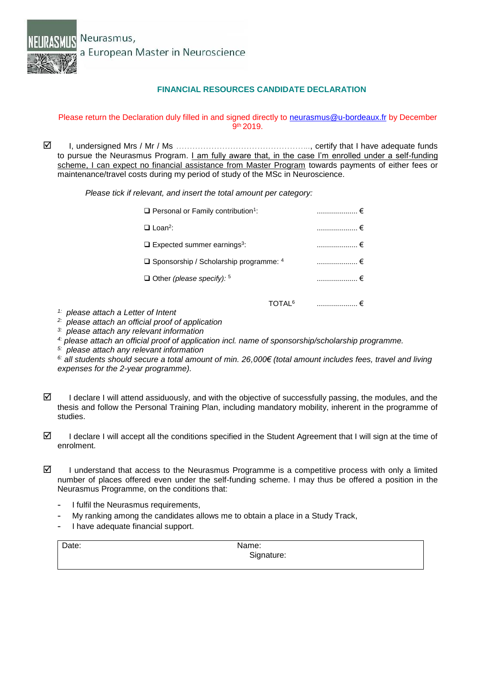

## **FINANCIAL RESOURCES CANDIDATE DECLARATION**

## Please return the Declaration duly filled in and signed directly to [neurasmus@u-bordeaux.fr](mailto:neurasmus@u-bordeaux.fr) by December 9 th 2019.

 I, undersigned Mrs / Mr / Ms *…………………………………………..*, certify that I have adequate funds to pursue the Neurasmus Program. I am fully aware that, in the case I'm enrolled under a self-funding scheme, I can expect no financial assistance from Master Program towards payments of either fees or maintenance/travel costs during my period of study of the MSc in Neuroscience.

*Please tick if relevant, and insert the total amount per category:* 

| $\Box$ Personal or Family contribution <sup>1</sup> : | ………………… €                |            |  |
|-------------------------------------------------------|--------------------------|------------|--|
| $\Box$ Loan <sup>2</sup> :                            |                          | ……………… €   |  |
| $\Box$ Expected summer earnings <sup>3</sup> :        |                          | _………………… € |  |
| $\Box$ Sponsorship / Scholarship programme: 4         | _ ………………… €              |            |  |
| $\Box$ Other (please specify): $5$                    |                          | ………………… €  |  |
|                                                       | <b>IOTAL<sup>6</sup></b> | .          |  |

- *1: please attach a Letter of Intent*
- *2: please attach an official proof of application*
- *3: please attach any relevant information*
- *4: please attach an official proof of application incl. name of sponsorship/scholarship programme.*
- *5: please attach any relevant information*

*6: all students should secure a total amount of min. 26,000€ (total amount includes fees, travel and living expenses for the 2-year programme).*

- $\boxtimes$  I declare I will attend assiduously, and with the objective of successfully passing, the modules, and the thesis and follow the Personal Training Plan, including mandatory mobility, inherent in the programme of studies.
- I declare I will accept all the conditions specified in the Student Agreement that I will sign at the time of enrolment.
- $\boxtimes$  I understand that access to the Neurasmus Programme is a competitive process with only a limited number of places offered even under the self-funding scheme. I may thus be offered a position in the Neurasmus Programme, on the conditions that:
	- I fulfil the Neurasmus requirements,
	- My ranking among the candidates allows me to obtain a place in a Study Track,
	- I have adequate financial support.

| Date: | Name:      |  |
|-------|------------|--|
|       | Signature: |  |
|       |            |  |